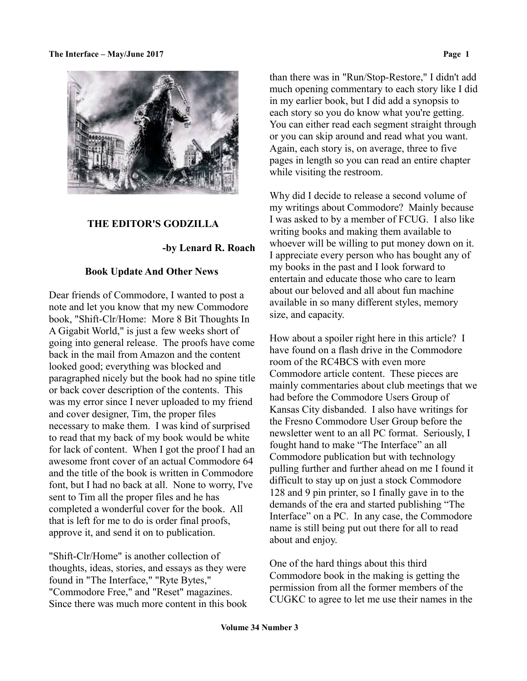

## **THE EDITOR'S GODZILLA**

# **-by Lenard R. Roach**

## **Book Update And Other News**

Dear friends of Commodore, I wanted to post a note and let you know that my new Commodore book, "Shift-Clr/Home: More 8 Bit Thoughts In A Gigabit World," is just a few weeks short of going into general release. The proofs have come back in the mail from Amazon and the content looked good; everything was blocked and paragraphed nicely but the book had no spine title or back cover description of the contents. This was my error since I never uploaded to my friend and cover designer, Tim, the proper files necessary to make them. I was kind of surprised to read that my back of my book would be white for lack of content. When I got the proof I had an awesome front cover of an actual Commodore 64 and the title of the book is written in Commodore font, but I had no back at all. None to worry, I've sent to Tim all the proper files and he has completed a wonderful cover for the book. All that is left for me to do is order final proofs, approve it, and send it on to publication.

"Shift-Clr/Home" is another collection of thoughts, ideas, stories, and essays as they were found in "The Interface," "Ryte Bytes," "Commodore Free," and "Reset" magazines. Since there was much more content in this book than there was in "Run/Stop-Restore," I didn't add much opening commentary to each story like I did in my earlier book, but I did add a synopsis to each story so you do know what you're getting. You can either read each segment straight through or you can skip around and read what you want. Again, each story is, on average, three to five pages in length so you can read an entire chapter while visiting the restroom.

Why did I decide to release a second volume of my writings about Commodore? Mainly because I was asked to by a member of FCUG. I also like writing books and making them available to whoever will be willing to put money down on it. I appreciate every person who has bought any of my books in the past and I look forward to entertain and educate those who care to learn about our beloved and all about fun machine available in so many different styles, memory size, and capacity.

How about a spoiler right here in this article? I have found on a flash drive in the Commodore room of the RC4BCS with even more Commodore article content. These pieces are mainly commentaries about club meetings that we had before the Commodore Users Group of Kansas City disbanded. I also have writings for the Fresno Commodore User Group before the newsletter went to an all PC format. Seriously, I fought hand to make "The Interface" an all Commodore publication but with technology pulling further and further ahead on me I found it difficult to stay up on just a stock Commodore 128 and 9 pin printer, so I finally gave in to the demands of the era and started publishing "The Interface" on a PC. In any case, the Commodore name is still being put out there for all to read about and enjoy.

One of the hard things about this third Commodore book in the making is getting the permission from all the former members of the CUGKC to agree to let me use their names in the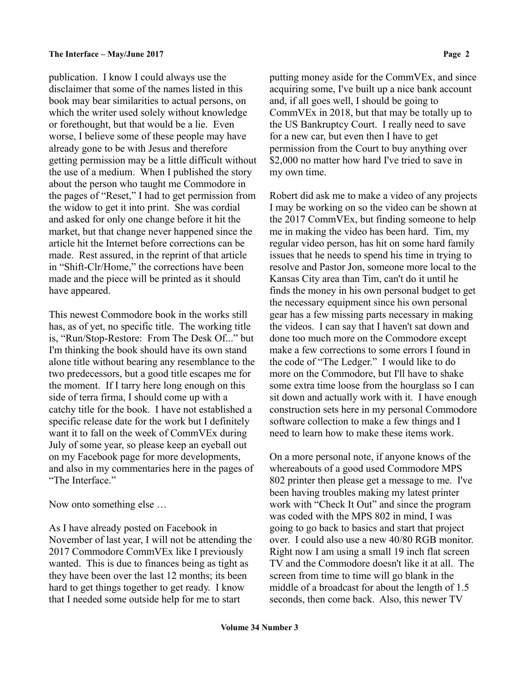publication. I know I could always use the disclaimer that some of the names listed in this book may bear similarities to actual persons, on which the writer used solely without knowledge or forethought, but that would be a lie. Even worse, I believe some of these people may have already gone to be with Jesus and therefore getting permission may be a little difficult without the use of a medium. When I published the story about the person who taught me Commodore in the pages of "Reset," I had to get permission from the widow to get it into print. She was cordial and asked for only one change before it hit the market, but that change never happened since the article hit the Internet before corrections can be made. Rest assured, in the reprint of that article in "Shift-Clr/Home," the corrections have been made and the piece will be printed as it should have appeared.

This newest Commodore book in the works still has, as of yet, no specific title. The working title is, "Run/Stop-Restore: From The Desk Of..." but I'm thinking the book should have its own stand alone title without bearing any resemblance to the two predecessors, but a good title escapes me for the moment. If I tarry here long enough on this side of terra firma, I should come up with a catchy title for the book. I have not established a specific release date for the work but I definitely want it to fall on the week of CommVEx during July of some year, so please keep an eyeball out on my Facebook page for more developments, and also in my commentaries here in the pages of "The Interface."

Now onto something else …

As I have already posted on Facebook in November of last year, I will not be attending the 2017 Commodore CommVEx like I previously wanted. This is due to finances being as tight as they have been over the last 12 months; its been hard to get things together to get ready. I know that I needed some outside help for me to start

putting money aside for the CommVEx, and since acquiring some, I've built up a nice bank account and, if all goes well, I should be going to CommVEx in 2018, but that may be totally up to the US Bankruptcy Court. I really need to save for a new car, but even then I have to get permission from the Court to buy anything over \$2,000 no matter how hard I've tried to save in my own time.

Robert did ask me to make a video of any projects I may be working on so the video can be shown at the 2017 CommVEx, but finding someone to help me in making the video has been hard. Tim, my regular video person, has hit on some hard family issues that he needs to spend his time in trying to resolve and Pastor Jon, someone more local to the Kansas City area than Tim, can't do it until he finds the money in his own personal budget to get the necessary equipment since his own personal gear has a few missing parts necessary in making the videos. I can say that I haven't sat down and done too much more on the Commodore except make a few corrections to some errors I found in the code of "The Ledger." I would like to do more on the Commodore, but I'll have to shake some extra time loose from the hourglass so I can sit down and actually work with it. I have enough construction sets here in my personal Commodore software collection to make a few things and I need to learn how to make these items work.

On a more personal note, if anyone knows of the whereabouts of a good used Commodore MPS 802 printer then please get a message to me. I've been having troubles making my latest printer work with "Check It Out" and since the program was coded with the MPS 802 in mind, I was going to go back to basics and start that project over. I could also use a new 40/80 RGB monitor. Right now I am using a small 19 inch flat screen TV and the Commodore doesn't like it at all. The screen from time to time will go blank in the middle of a broadcast for about the length of 1.5 seconds, then come back. Also, this newer TV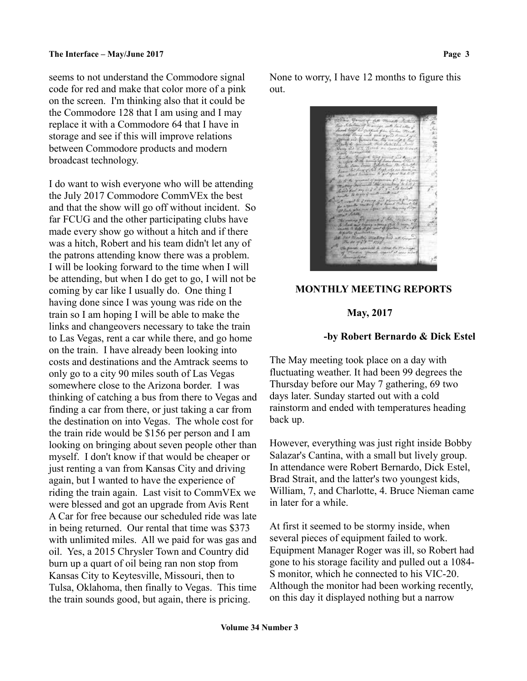seems to not understand the Commodore signal code for red and make that color more of a pink on the screen. I'm thinking also that it could be the Commodore 128 that I am using and I may replace it with a Commodore 64 that I have in storage and see if this will improve relations between Commodore products and modern broadcast technology.

I do want to wish everyone who will be attending the July 2017 Commodore CommVEx the best and that the show will go off without incident. So far FCUG and the other participating clubs have made every show go without a hitch and if there was a hitch, Robert and his team didn't let any of the patrons attending know there was a problem. I will be looking forward to the time when I will be attending, but when I do get to go, I will not be coming by car like I usually do. One thing I having done since I was young was ride on the train so I am hoping I will be able to make the links and changeovers necessary to take the train to Las Vegas, rent a car while there, and go home on the train. I have already been looking into costs and destinations and the Amtrack seems to only go to a city 90 miles south of Las Vegas somewhere close to the Arizona border. I was thinking of catching a bus from there to Vegas and finding a car from there, or just taking a car from the destination on into Vegas. The whole cost for the train ride would be \$156 per person and I am looking on bringing about seven people other than myself. I don't know if that would be cheaper or just renting a van from Kansas City and driving again, but I wanted to have the experience of riding the train again. Last visit to CommVEx we were blessed and got an upgrade from Avis Rent A Car for free because our scheduled ride was late in being returned. Our rental that time was \$373 with unlimited miles. All we paid for was gas and oil. Yes, a 2015 Chrysler Town and Country did burn up a quart of oil being ran non stop from Kansas City to Keytesville, Missouri, then to Tulsa, Oklahoma, then finally to Vegas. This time the train sounds good, but again, there is pricing.

None to worry, I have 12 months to figure this out.

### **MONTHLY MEETING REPORTS**

#### **May, 2017**

### **-by Robert Bernardo & Dick Estel**

The May meeting took place on a day with fluctuating weather. It had been 99 degrees the Thursday before our May 7 gathering, 69 two days later. Sunday started out with a cold rainstorm and ended with temperatures heading back up.

However, everything was just right inside Bobby Salazar's Cantina, with a small but lively group. In attendance were Robert Bernardo, Dick Estel, Brad Strait, and the latter's two youngest kids, William, 7, and Charlotte, 4. Bruce Nieman came in later for a while.

At first it seemed to be stormy inside, when several pieces of equipment failed to work. Equipment Manager Roger was ill, so Robert had gone to his storage facility and pulled out a 1084- S monitor, which he connected to his VIC-20. Although the monitor had been working recently, on this day it displayed nothing but a narrow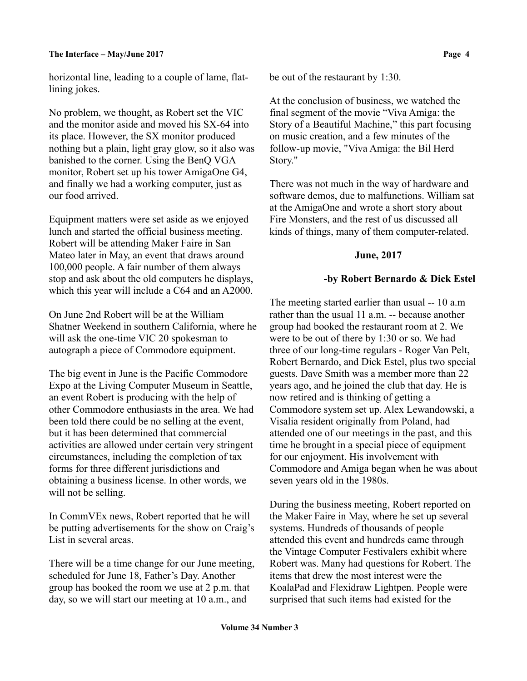horizontal line, leading to a couple of lame, flatlining jokes.

No problem, we thought, as Robert set the VIC and the monitor aside and moved his SX-64 into its place. However, the SX monitor produced nothing but a plain, light gray glow, so it also was banished to the corner. Using the BenQ VGA monitor, Robert set up his tower AmigaOne G4, and finally we had a working computer, just as our food arrived.

Equipment matters were set aside as we enjoyed lunch and started the official business meeting. Robert will be attending Maker Faire in San Mateo later in May, an event that draws around 100,000 people. A fair number of them always stop and ask about the old computers he displays, which this year will include a C64 and an A2000.

On June 2nd Robert will be at the William Shatner Weekend in southern California, where he will ask the one-time VIC 20 spokesman to autograph a piece of Commodore equipment.

The big event in June is the Pacific Commodore Expo at the Living Computer Museum in Seattle, an event Robert is producing with the help of other Commodore enthusiasts in the area. We had been told there could be no selling at the event, but it has been determined that commercial activities are allowed under certain very stringent circumstances, including the completion of tax forms for three different jurisdictions and obtaining a business license. In other words, we will not be selling.

In CommVEx news, Robert reported that he will be putting advertisements for the show on Craig's List in several areas.

There will be a time change for our June meeting, scheduled for June 18, Father's Day. Another group has booked the room we use at 2 p.m. that day, so we will start our meeting at 10 a.m., and

be out of the restaurant by 1:30.

At the conclusion of business, we watched the final segment of the movie "Viva Amiga: the Story of a Beautiful Machine," this part focusing on music creation, and a few minutes of the follow-up movie, "Viva Amiga: the Bil Herd Story."

There was not much in the way of hardware and software demos, due to malfunctions. William sat at the AmigaOne and wrote a short story about Fire Monsters, and the rest of us discussed all kinds of things, many of them computer-related.

# **June, 2017**

# **-by Robert Bernardo & Dick Estel**

The meeting started earlier than usual -- 10 a.m rather than the usual 11 a.m. -- because another group had booked the restaurant room at 2. We were to be out of there by 1:30 or so. We had three of our long-time regulars - Roger Van Pelt, Robert Bernardo, and Dick Estel, plus two special guests. Dave Smith was a member more than 22 years ago, and he joined the club that day. He is now retired and is thinking of getting a Commodore system set up. Alex Lewandowski, a Visalia resident originally from Poland, had attended one of our meetings in the past, and this time he brought in a special piece of equipment for our enjoyment. His involvement with Commodore and Amiga began when he was about seven years old in the 1980s.

During the business meeting, Robert reported on the Maker Faire in May, where he set up several systems. Hundreds of thousands of people attended this event and hundreds came through the Vintage Computer Festivalers exhibit where Robert was. Many had questions for Robert. The items that drew the most interest were the KoalaPad and Flexidraw Lightpen. People were surprised that such items had existed for the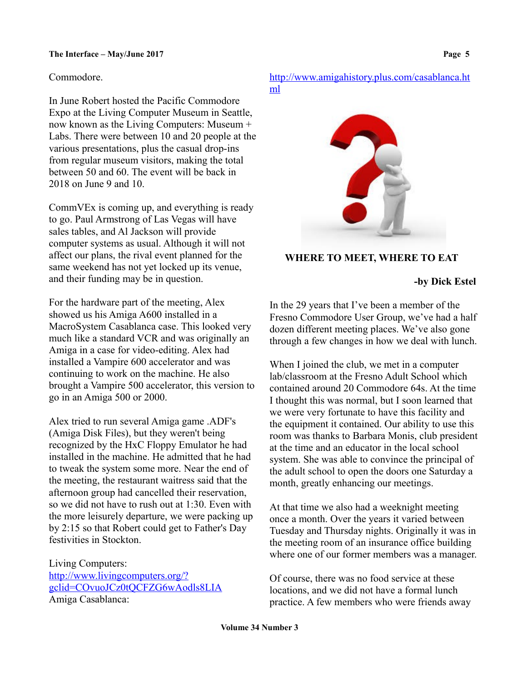# Commodore.

In June Robert hosted the Pacific Commodore Expo at the Living Computer Museum in Seattle, now known as the Living Computers: Museum + Labs. There were between 10 and 20 people at the various presentations, plus the casual drop-ins from regular museum visitors, making the total between 50 and 60. The event will be back in 2018 on June 9 and 10.

CommVEx is coming up, and everything is ready to go. Paul Armstrong of Las Vegas will have sales tables, and Al Jackson will provide computer systems as usual. Although it will not affect our plans, the rival event planned for the same weekend has not yet locked up its venue, and their funding may be in question.

For the hardware part of the meeting, Alex showed us his Amiga A600 installed in a MacroSystem Casablanca case. This looked very much like a standard VCR and was originally an Amiga in a case for video-editing. Alex had installed a Vampire 600 accelerator and was continuing to work on the machine. He also brought a Vampire 500 accelerator, this version to go in an Amiga 500 or 2000.

Alex tried to run several Amiga game .ADF's (Amiga Disk Files), but they weren't being recognized by the HxC Floppy Emulator he had installed in the machine. He admitted that he had to tweak the system some more. Near the end of the meeting, the restaurant waitress said that the afternoon group had cancelled their reservation, so we did not have to rush out at 1:30. Even with the more leisurely departure, we were packing up by 2:15 so that Robert could get to Father's Day festivities in Stockton.

Living Computers: [http://www.livingcomputers.org/?](http://www.livingcomputers.org/?gclid=COvuoJCz0tQCFZG6wAodls8LIA) [gclid=COvuoJCz0tQCFZG6wAodls8LIA](http://www.livingcomputers.org/?gclid=COvuoJCz0tQCFZG6wAodls8LIA) Amiga Casablanca:

[http://www.amigahistory.plus.com/casablanca.ht](http://www.amigahistory.plus.com/casablanca.html) [ml](http://www.amigahistory.plus.com/casablanca.html)



# **WHERE TO MEET, WHERE TO EAT**

 **-by Dick Estel**

In the 29 years that I've been a member of the Fresno Commodore User Group, we've had a half dozen different meeting places. We've also gone through a few changes in how we deal with lunch.

When I joined the club, we met in a computer lab/classroom at the Fresno Adult School which contained around 20 Commodore 64s. At the time I thought this was normal, but I soon learned that we were very fortunate to have this facility and the equipment it contained. Our ability to use this room was thanks to Barbara Monis, club president at the time and an educator in the local school system. She was able to convince the principal of the adult school to open the doors one Saturday a month, greatly enhancing our meetings.

At that time we also had a weeknight meeting once a month. Over the years it varied between Tuesday and Thursday nights. Originally it was in the meeting room of an insurance office building where one of our former members was a manager.

Of course, there was no food service at these locations, and we did not have a formal lunch practice. A few members who were friends away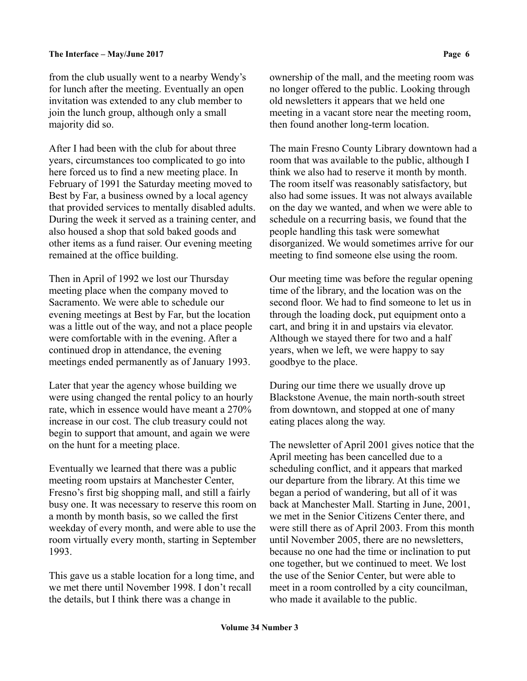from the club usually went to a nearby Wendy's for lunch after the meeting. Eventually an open invitation was extended to any club member to join the lunch group, although only a small majority did so.

After I had been with the club for about three years, circumstances too complicated to go into here forced us to find a new meeting place. In February of 1991 the Saturday meeting moved to Best by Far, a business owned by a local agency that provided services to mentally disabled adults. During the week it served as a training center, and also housed a shop that sold baked goods and other items as a fund raiser. Our evening meeting remained at the office building.

Then in April of 1992 we lost our Thursday meeting place when the company moved to Sacramento. We were able to schedule our evening meetings at Best by Far, but the location was a little out of the way, and not a place people were comfortable with in the evening. After a continued drop in attendance, the evening meetings ended permanently as of January 1993.

Later that year the agency whose building we were using changed the rental policy to an hourly rate, which in essence would have meant a 270% increase in our cost. The club treasury could not begin to support that amount, and again we were on the hunt for a meeting place.

Eventually we learned that there was a public meeting room upstairs at Manchester Center, Fresno's first big shopping mall, and still a fairly busy one. It was necessary to reserve this room on a month by month basis, so we called the first weekday of every month, and were able to use the room virtually every month, starting in September 1993.

This gave us a stable location for a long time, and we met there until November 1998. I don't recall the details, but I think there was a change in

ownership of the mall, and the meeting room was no longer offered to the public. Looking through old newsletters it appears that we held one meeting in a vacant store near the meeting room, then found another long-term location.

The main Fresno County Library downtown had a room that was available to the public, although I think we also had to reserve it month by month. The room itself was reasonably satisfactory, but also had some issues. It was not always available on the day we wanted, and when we were able to schedule on a recurring basis, we found that the people handling this task were somewhat disorganized. We would sometimes arrive for our meeting to find someone else using the room.

Our meeting time was before the regular opening time of the library, and the location was on the second floor. We had to find someone to let us in through the loading dock, put equipment onto a cart, and bring it in and upstairs via elevator. Although we stayed there for two and a half years, when we left, we were happy to say goodbye to the place.

During our time there we usually drove up Blackstone Avenue, the main north-south street from downtown, and stopped at one of many eating places along the way.

The newsletter of April 2001 gives notice that the April meeting has been cancelled due to a scheduling conflict, and it appears that marked our departure from the library. At this time we began a period of wandering, but all of it was back at Manchester Mall. Starting in June, 2001, we met in the Senior Citizens Center there, and were still there as of April 2003. From this month until November 2005, there are no newsletters, because no one had the time or inclination to put one together, but we continued to meet. We lost the use of the Senior Center, but were able to meet in a room controlled by a city councilman, who made it available to the public.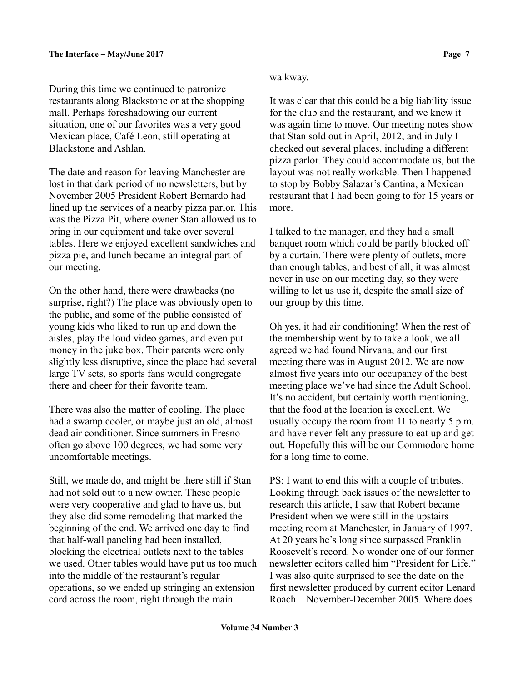During this time we continued to patronize restaurants along Blackstone or at the shopping mall. Perhaps foreshadowing our current situation, one of our favorites was a very good Mexican place, Café Leon, still operating at Blackstone and Ashlan.

The date and reason for leaving Manchester are lost in that dark period of no newsletters, but by November 2005 President Robert Bernardo had lined up the services of a nearby pizza parlor. This was the Pizza Pit, where owner Stan allowed us to bring in our equipment and take over several tables. Here we enjoyed excellent sandwiches and pizza pie, and lunch became an integral part of our meeting.

On the other hand, there were drawbacks (no surprise, right?) The place was obviously open to the public, and some of the public consisted of young kids who liked to run up and down the aisles, play the loud video games, and even put money in the juke box. Their parents were only slightly less disruptive, since the place had several large TV sets, so sports fans would congregate there and cheer for their favorite team.

There was also the matter of cooling. The place had a swamp cooler, or maybe just an old, almost dead air conditioner. Since summers in Fresno often go above 100 degrees, we had some very uncomfortable meetings.

Still, we made do, and might be there still if Stan had not sold out to a new owner. These people were very cooperative and glad to have us, but they also did some remodeling that marked the beginning of the end. We arrived one day to find that half-wall paneling had been installed, blocking the electrical outlets next to the tables we used. Other tables would have put us too much into the middle of the restaurant's regular operations, so we ended up stringing an extension cord across the room, right through the main

## walkway.

It was clear that this could be a big liability issue for the club and the restaurant, and we knew it was again time to move. Our meeting notes show that Stan sold out in April, 2012, and in July I checked out several places, including a different pizza parlor. They could accommodate us, but the layout was not really workable. Then I happened to stop by Bobby Salazar's Cantina, a Mexican restaurant that I had been going to for 15 years or more.

I talked to the manager, and they had a small banquet room which could be partly blocked off by a curtain. There were plenty of outlets, more than enough tables, and best of all, it was almost never in use on our meeting day, so they were willing to let us use it, despite the small size of our group by this time.

Oh yes, it had air conditioning! When the rest of the membership went by to take a look, we all agreed we had found Nirvana, and our first meeting there was in August 2012. We are now almost five years into our occupancy of the best meeting place we've had since the Adult School. It's no accident, but certainly worth mentioning, that the food at the location is excellent. We usually occupy the room from 11 to nearly 5 p.m. and have never felt any pressure to eat up and get out. Hopefully this will be our Commodore home for a long time to come.

PS: I want to end this with a couple of tributes. Looking through back issues of the newsletter to research this article, I saw that Robert became President when we were still in the upstairs meeting room at Manchester, in January of 1997. At 20 years he's long since surpassed Franklin Roosevelt's record. No wonder one of our former newsletter editors called him "President for Life." I was also quite surprised to see the date on the first newsletter produced by current editor Lenard Roach – November-December 2005. Where does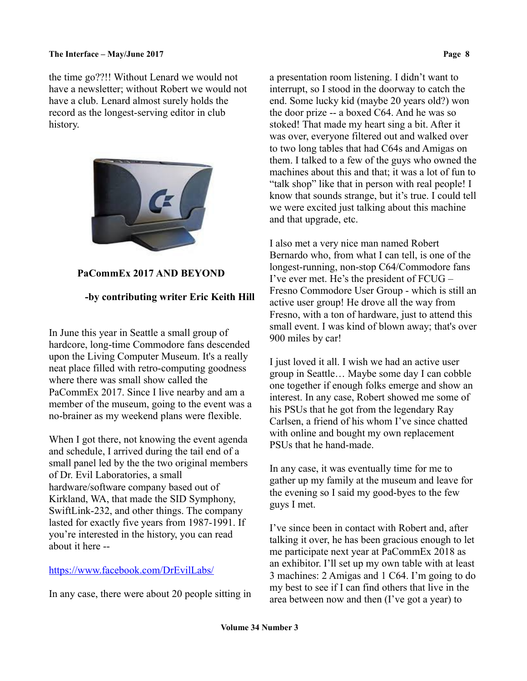the time go??!! Without Lenard we would not have a newsletter; without Robert we would not have a club. Lenard almost surely holds the record as the longest-serving editor in club history.



# **PaCommEx 2017 AND BEYOND**

# **-by contributing writer Eric Keith Hill**

In June this year in Seattle a small group of hardcore, long-time Commodore fans descended upon the Living Computer Museum. It's a really neat place filled with retro-computing goodness where there was small show called the PaCommEx 2017. Since I live nearby and am a member of the museum, going to the event was a no-brainer as my weekend plans were flexible.

When I got there, not knowing the event agenda and schedule, I arrived during the tail end of a small panel led by the the two original members of Dr. Evil Laboratories, a small hardware/software company based out of Kirkland, WA, that made the SID Symphony, SwiftLink-232, and other things. The company lasted for exactly five years from 1987-1991. If you're interested in the history, you can read about it here --

## <https://www.facebook.com/DrEvilLabs/>

In any case, there were about 20 people sitting in

a presentation room listening. I didn't want to interrupt, so I stood in the doorway to catch the end. Some lucky kid (maybe 20 years old?) won the door prize -- a boxed C64. And he was so stoked! That made my heart sing a bit. After it was over, everyone filtered out and walked over to two long tables that had C64s and Amigas on them. I talked to a few of the guys who owned the machines about this and that; it was a lot of fun to "talk shop" like that in person with real people! I know that sounds strange, but it's true. I could tell we were excited just talking about this machine and that upgrade, etc.

I also met a very nice man named Robert Bernardo who, from what I can tell, is one of the longest-running, non-stop C64/Commodore fans I've ever met. He's the president of FCUG – Fresno Commodore User Group - which is still an active user group! He drove all the way from Fresno, with a ton of hardware, just to attend this small event. I was kind of blown away; that's over 900 miles by car!

I just loved it all. I wish we had an active user group in Seattle… Maybe some day I can cobble one together if enough folks emerge and show an interest. In any case, Robert showed me some of his PSUs that he got from the legendary Ray Carlsen, a friend of his whom I've since chatted with online and bought my own replacement PSUs that he hand-made.

In any case, it was eventually time for me to gather up my family at the museum and leave for the evening so I said my good-byes to the few guys I met.

I've since been in contact with Robert and, after talking it over, he has been gracious enough to let me participate next year at PaCommEx 2018 as an exhibitor. I'll set up my own table with at least 3 machines: 2 Amigas and 1 C64. I'm going to do my best to see if I can find others that live in the area between now and then (I've got a year) to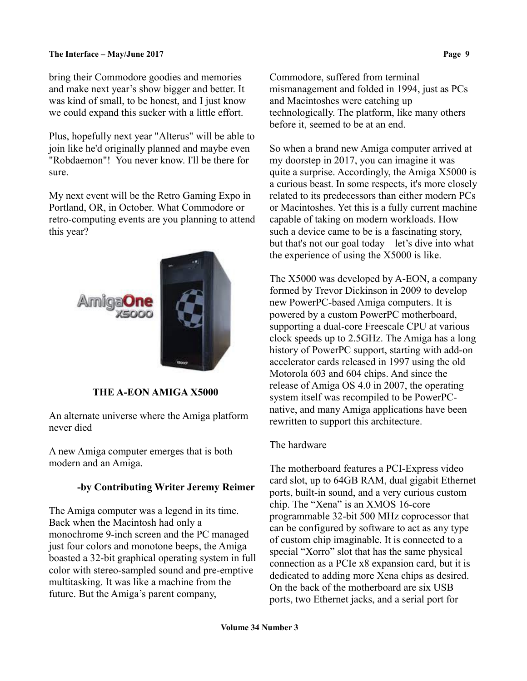### **The Interface – May/June 2017 Page 9**

bring their Commodore goodies and memories and make next year's show bigger and better. It was kind of small, to be honest, and I just know we could expand this sucker with a little effort.

Plus, hopefully next year "Alterus" will be able to join like he'd originally planned and maybe even "Robdaemon"! You never know. I'll be there for sure.

My next event will be the Retro Gaming Expo in Portland, OR, in October. What Commodore or retro-computing events are you planning to attend this year?



# **THE A-EON AMIGA X5000**

An alternate universe where the Amiga platform never died

A new Amiga computer emerges that is both modern and an Amiga.

## **-by Contributing Writer Jeremy Reimer**

The Amiga computer was a legend in its time. Back when the Macintosh had only a monochrome 9-inch screen and the PC managed just four colors and monotone beeps, the Amiga boasted a 32-bit graphical operating system in full color with stereo-sampled sound and pre-emptive multitasking. It was like a machine from the future. But the Amiga's parent company,

Commodore, suffered from terminal mismanagement and folded in 1994, just as PCs and Macintoshes were catching up technologically. The platform, like many others before it, seemed to be at an end.

So when a brand new Amiga computer arrived at my doorstep in 2017, you can imagine it was quite a surprise. Accordingly, the Amiga X5000 is a curious beast. In some respects, it's more closely related to its predecessors than either modern PCs or Macintoshes. Yet this is a fully current machine capable of taking on modern workloads. How such a device came to be is a fascinating story, but that's not our goal today—let's dive into what the experience of using the X5000 is like.

The X5000 was developed by A-EON, a company formed by Trevor Dickinson in 2009 to develop new PowerPC-based Amiga computers. It is powered by a custom PowerPC motherboard, supporting a dual-core Freescale CPU at various clock speeds up to 2.5GHz. The Amiga has a long history of PowerPC support, starting with add-on accelerator cards released in 1997 using the old Motorola 603 and 604 chips. And since the release of Amiga OS 4.0 in 2007, the operating system itself was recompiled to be PowerPCnative, and many Amiga applications have been rewritten to support this architecture.

## The hardware

The motherboard features a PCI-Express video card slot, up to 64GB RAM, dual gigabit Ethernet ports, built-in sound, and a very curious custom chip. The "Xena" is an XMOS 16-core programmable 32-bit 500 MHz coprocessor that can be configured by software to act as any type of custom chip imaginable. It is connected to a special "Xorro" slot that has the same physical connection as a PCIe x8 expansion card, but it is dedicated to adding more Xena chips as desired. On the back of the motherboard are six USB ports, two Ethernet jacks, and a serial port for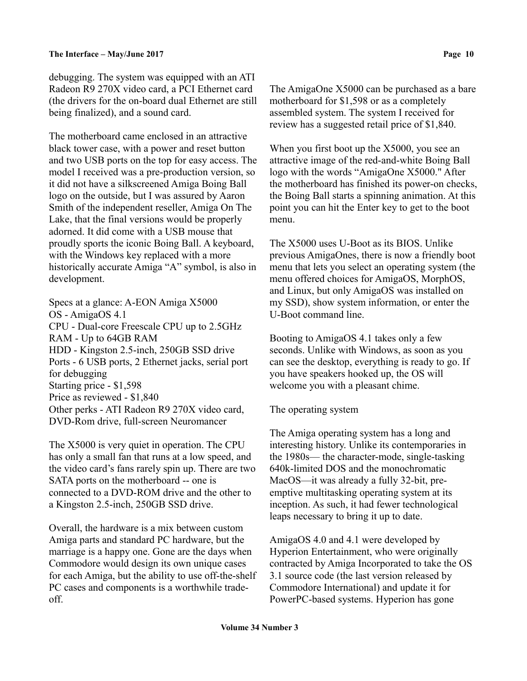debugging. The system was equipped with an ATI Radeon R9 270X video card, a PCI Ethernet card (the drivers for the on-board dual Ethernet are still being finalized), and a sound card.

The motherboard came enclosed in an attractive black tower case, with a power and reset button and two USB ports on the top for easy access. The model I received was a pre-production version, so it did not have a silkscreened Amiga Boing Ball logo on the outside, but I was assured by Aaron Smith of the independent reseller, Amiga On The Lake, that the final versions would be properly adorned. It did come with a USB mouse that proudly sports the iconic Boing Ball. A keyboard, with the Windows key replaced with a more historically accurate Amiga "A" symbol, is also in development.

Specs at a glance: A-EON Amiga X5000 OS - AmigaOS 4.1 CPU - Dual-core Freescale CPU up to 2.5GHz RAM - Up to 64GB RAM HDD - Kingston 2.5-inch, 250GB SSD drive Ports - 6 USB ports, 2 Ethernet jacks, serial port for debugging Starting price - \$1,598 Price as reviewed - \$1,840 Other perks - ATI Radeon R9 270X video card, DVD-Rom drive, full-screen Neuromancer

The X5000 is very quiet in operation. The CPU has only a small fan that runs at a low speed, and the video card's fans rarely spin up. There are two SATA ports on the motherboard -- one is connected to a DVD-ROM drive and the other to a Kingston 2.5-inch, 250GB SSD drive.

Overall, the hardware is a mix between custom Amiga parts and standard PC hardware, but the marriage is a happy one. Gone are the days when Commodore would design its own unique cases for each Amiga, but the ability to use off-the-shelf PC cases and components is a worthwhile tradeoff.

The AmigaOne X5000 can be purchased as a bare motherboard for \$1,598 or as a completely assembled system. The system I received for review has a suggested retail price of \$1,840.

When you first boot up the X5000, you see an attractive image of the red-and-white Boing Ball logo with the words "AmigaOne X5000." After the motherboard has finished its power-on checks, the Boing Ball starts a spinning animation. At this point you can hit the Enter key to get to the boot menu.

The X5000 uses U-Boot as its BIOS. Unlike previous AmigaOnes, there is now a friendly boot menu that lets you select an operating system (the menu offered choices for AmigaOS, MorphOS, and Linux, but only AmigaOS was installed on my SSD), show system information, or enter the U-Boot command line.

Booting to AmigaOS 4.1 takes only a few seconds. Unlike with Windows, as soon as you can see the desktop, everything is ready to go. If you have speakers hooked up, the OS will welcome you with a pleasant chime.

# The operating system

The Amiga operating system has a long and interesting history. Unlike its contemporaries in the 1980s— the character-mode, single-tasking 640k-limited DOS and the monochromatic MacOS—it was already a fully 32-bit, preemptive multitasking operating system at its inception. As such, it had fewer technological leaps necessary to bring it up to date.

AmigaOS 4.0 and 4.1 were developed by Hyperion Entertainment, who were originally contracted by Amiga Incorporated to take the OS 3.1 source code (the last version released by Commodore International) and update it for PowerPC-based systems. Hyperion has gone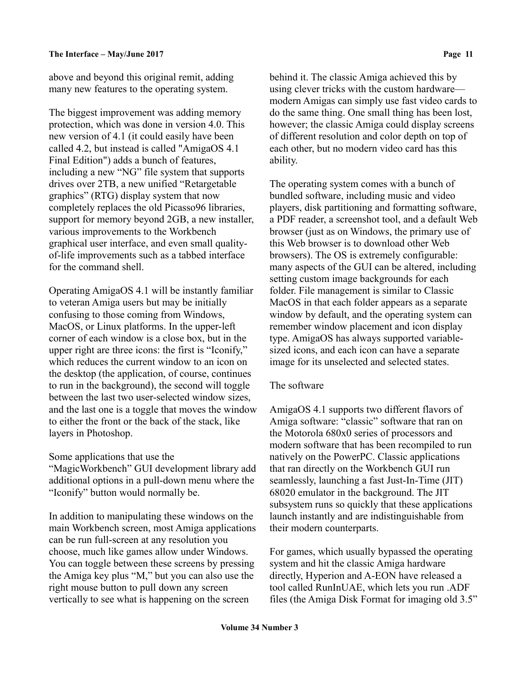above and beyond this original remit, adding many new features to the operating system.

The biggest improvement was adding memory protection, which was done in version 4.0. This new version of 4.1 (it could easily have been called 4.2, but instead is called "AmigaOS 4.1 Final Edition") adds a bunch of features, including a new "NG" file system that supports drives over 2TB, a new unified "Retargetable graphics" (RTG) display system that now completely replaces the old Picasso96 libraries, support for memory beyond 2GB, a new installer, various improvements to the Workbench graphical user interface, and even small qualityof-life improvements such as a tabbed interface for the command shell.

Operating AmigaOS 4.1 will be instantly familiar to veteran Amiga users but may be initially confusing to those coming from Windows, MacOS, or Linux platforms. In the upper-left corner of each window is a close box, but in the upper right are three icons: the first is "Iconify," which reduces the current window to an icon on the desktop (the application, of course, continues to run in the background), the second will toggle between the last two user-selected window sizes, and the last one is a toggle that moves the window to either the front or the back of the stack, like layers in Photoshop.

### Some applications that use the

"MagicWorkbench" GUI development library add additional options in a pull-down menu where the "Iconify" button would normally be.

In addition to manipulating these windows on the main Workbench screen, most Amiga applications can be run full-screen at any resolution you choose, much like games allow under Windows. You can toggle between these screens by pressing the Amiga key plus "M," but you can also use the right mouse button to pull down any screen vertically to see what is happening on the screen

behind it. The classic Amiga achieved this by using clever tricks with the custom hardware modern Amigas can simply use fast video cards to do the same thing. One small thing has been lost, however; the classic Amiga could display screens of different resolution and color depth on top of each other, but no modern video card has this ability.

The operating system comes with a bunch of bundled software, including music and video players, disk partitioning and formatting software, a PDF reader, a screenshot tool, and a default Web browser (just as on Windows, the primary use of this Web browser is to download other Web browsers). The OS is extremely configurable: many aspects of the GUI can be altered, including setting custom image backgrounds for each folder. File management is similar to Classic MacOS in that each folder appears as a separate window by default, and the operating system can remember window placement and icon display type. AmigaOS has always supported variablesized icons, and each icon can have a separate image for its unselected and selected states.

## The software

AmigaOS 4.1 supports two different flavors of Amiga software: "classic" software that ran on the Motorola 680x0 series of processors and modern software that has been recompiled to run natively on the PowerPC. Classic applications that ran directly on the Workbench GUI run seamlessly, launching a fast Just-In-Time (JIT) 68020 emulator in the background. The JIT subsystem runs so quickly that these applications launch instantly and are indistinguishable from their modern counterparts.

For games, which usually bypassed the operating system and hit the classic Amiga hardware directly, Hyperion and A-EON have released a tool called RunInUAE, which lets you run .ADF files (the Amiga Disk Format for imaging old 3.5"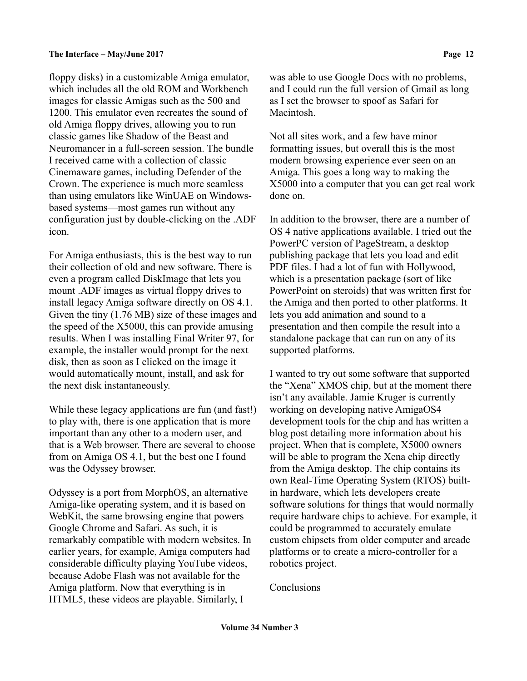floppy disks) in a customizable Amiga emulator, which includes all the old ROM and Workbench images for classic Amigas such as the 500 and 1200. This emulator even recreates the sound of old Amiga floppy drives, allowing you to run classic games like Shadow of the Beast and Neuromancer in a full-screen session. The bundle I received came with a collection of classic Cinemaware games, including Defender of the Crown. The experience is much more seamless than using emulators like WinUAE on Windowsbased systems—most games run without any configuration just by double-clicking on the .ADF icon.

For Amiga enthusiasts, this is the best way to run their collection of old and new software. There is even a program called DiskImage that lets you mount .ADF images as virtual floppy drives to install legacy Amiga software directly on OS 4.1. Given the tiny (1.76 MB) size of these images and the speed of the X5000, this can provide amusing results. When I was installing Final Writer 97, for example, the installer would prompt for the next disk, then as soon as I clicked on the image it would automatically mount, install, and ask for the next disk instantaneously.

While these legacy applications are fun (and fast!) to play with, there is one application that is more important than any other to a modern user, and that is a Web browser. There are several to choose from on Amiga OS 4.1, but the best one I found was the Odyssey browser.

Odyssey is a port from MorphOS, an alternative Amiga-like operating system, and it is based on WebKit, the same browsing engine that powers Google Chrome and Safari. As such, it is remarkably compatible with modern websites. In earlier years, for example, Amiga computers had considerable difficulty playing YouTube videos, because Adobe Flash was not available for the Amiga platform. Now that everything is in HTML5, these videos are playable. Similarly, I

was able to use Google Docs with no problems, and I could run the full version of Gmail as long as I set the browser to spoof as Safari for Macintosh.

Not all sites work, and a few have minor formatting issues, but overall this is the most modern browsing experience ever seen on an Amiga. This goes a long way to making the X5000 into a computer that you can get real work done on.

In addition to the browser, there are a number of OS 4 native applications available. I tried out the PowerPC version of PageStream, a desktop publishing package that lets you load and edit PDF files. I had a lot of fun with Hollywood, which is a presentation package (sort of like PowerPoint on steroids) that was written first for the Amiga and then ported to other platforms. It lets you add animation and sound to a presentation and then compile the result into a standalone package that can run on any of its supported platforms.

I wanted to try out some software that supported the "Xena" XMOS chip, but at the moment there isn't any available. Jamie Kruger is currently working on developing native AmigaOS4 development tools for the chip and has written a blog post detailing more information about his project. When that is complete, X5000 owners will be able to program the Xena chip directly from the Amiga desktop. The chip contains its own Real-Time Operating System (RTOS) builtin hardware, which lets developers create software solutions for things that would normally require hardware chips to achieve. For example, it could be programmed to accurately emulate custom chipsets from older computer and arcade platforms or to create a micro-controller for a robotics project.

Conclusions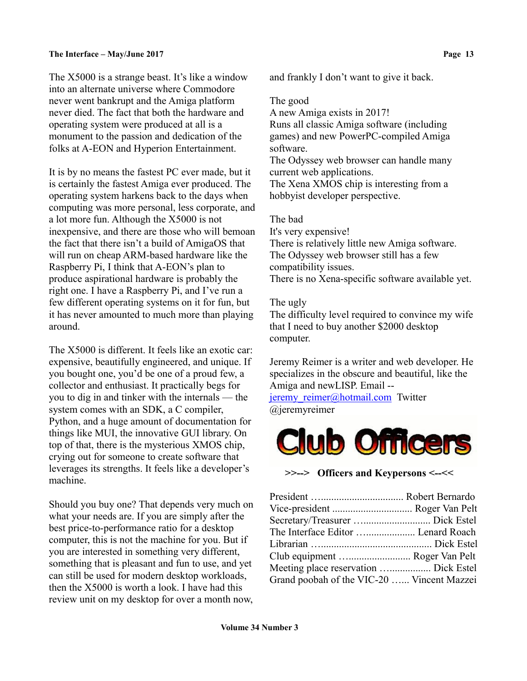The X5000 is a strange beast. It's like a window into an alternate universe where Commodore never went bankrupt and the Amiga platform never died. The fact that both the hardware and operating system were produced at all is a monument to the passion and dedication of the folks at A-EON and Hyperion Entertainment.

It is by no means the fastest PC ever made, but it is certainly the fastest Amiga ever produced. The operating system harkens back to the days when computing was more personal, less corporate, and a lot more fun. Although the X5000 is not inexpensive, and there are those who will bemoan the fact that there isn't a build of AmigaOS that will run on cheap ARM-based hardware like the Raspberry Pi, I think that A-EON's plan to produce aspirational hardware is probably the right one. I have a Raspberry Pi, and I've run a few different operating systems on it for fun, but it has never amounted to much more than playing around.

The X5000 is different. It feels like an exotic car: expensive, beautifully engineered, and unique. If you bought one, you'd be one of a proud few, a collector and enthusiast. It practically begs for you to dig in and tinker with the internals — the system comes with an SDK, a C compiler, Python, and a huge amount of documentation for things like MUI, the innovative GUI library. On top of that, there is the mysterious XMOS chip, crying out for someone to create software that leverages its strengths. It feels like a developer's machine.

Should you buy one? That depends very much on what your needs are. If you are simply after the best price-to-performance ratio for a desktop computer, this is not the machine for you. But if you are interested in something very different, something that is pleasant and fun to use, and yet can still be used for modern desktop workloads, then the X5000 is worth a look. I have had this review unit on my desktop for over a month now,

and frankly I don't want to give it back.

## The good

A new Amiga exists in 2017!

Runs all classic Amiga software (including games) and new PowerPC-compiled Amiga software.

The Odyssey web browser can handle many current web applications.

The Xena XMOS chip is interesting from a hobbyist developer perspective.

The bad

It's very expensive! There is relatively little new Amiga software. The Odyssey web browser still has a few compatibility issues.

There is no Xena-specific software available yet.

The ugly

The difficulty level required to convince my wife that I need to buy another \$2000 desktop computer.

Jeremy Reimer is a writer and web developer. He specializes in the obscure and beautiful, like the Amiga and newLISP. Email --

jeremy reimer@hotmail.com Twitter @jeremyreimer



**>>--> Officers and Keypersons <--<<**

| Vice-president  Roger Van Pelt             |
|--------------------------------------------|
|                                            |
| The Interface Editor  Lenard Roach         |
|                                            |
| Club equipment  Roger Van Pelt             |
| Meeting place reservation  Dick Estel      |
| Grand poobah of the VIC-20  Vincent Mazzei |
|                                            |